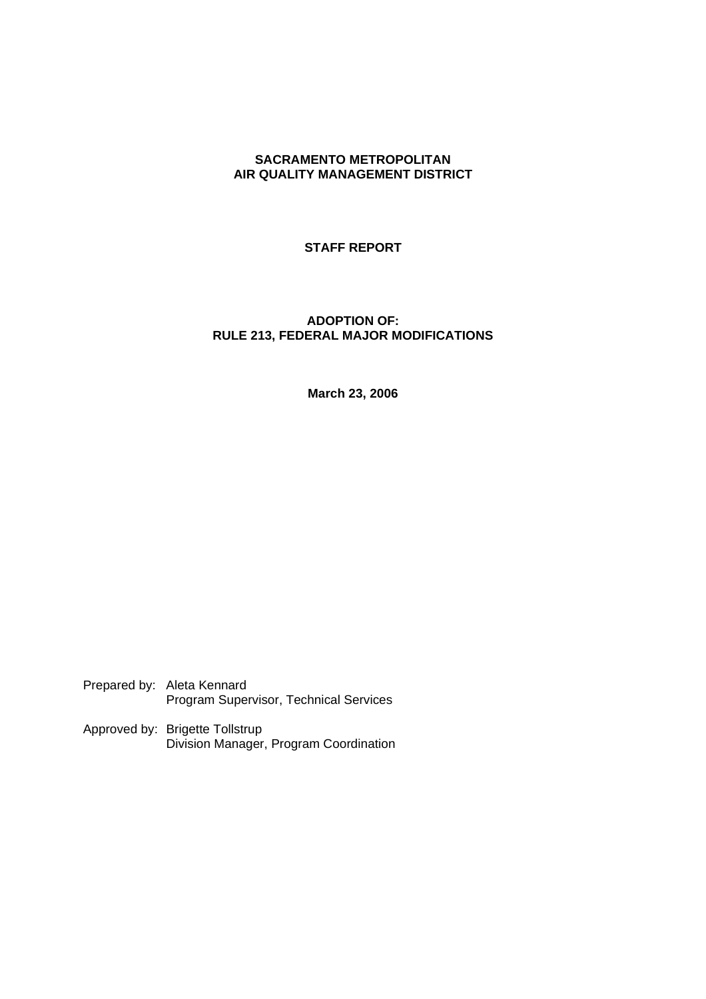## **SACRAMENTO METROPOLITAN AIR QUALITY MANAGEMENT DISTRICT**

## **STAFF REPORT**

# **ADOPTION OF: RULE 213, FEDERAL MAJOR MODIFICATIONS**

**March 23, 2006**

Prepared by: Aleta Kennard Program Supervisor, Technical Services

Approved by: Brigette Tollstrup Division Manager, Program Coordination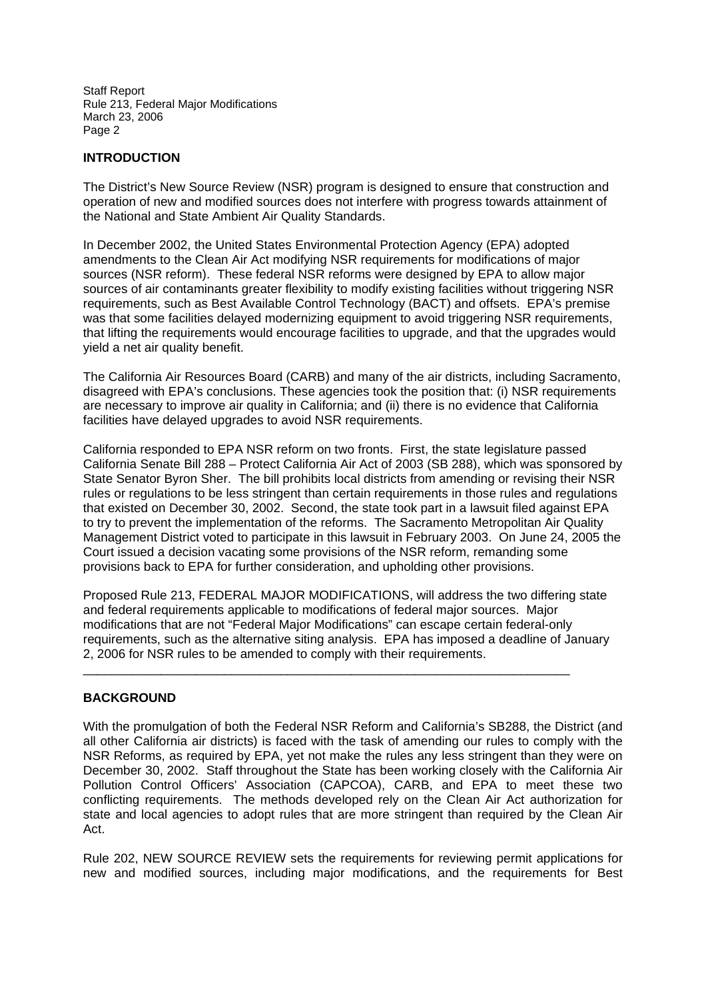## **INTRODUCTION**

The District's New Source Review (NSR) program is designed to ensure that construction and operation of new and modified sources does not interfere with progress towards attainment of the National and State Ambient Air Quality Standards.

In December 2002, the United States Environmental Protection Agency (EPA) adopted amendments to the Clean Air Act modifying NSR requirements for modifications of major sources (NSR reform). These federal NSR reforms were designed by EPA to allow major sources of air contaminants greater flexibility to modify existing facilities without triggering NSR requirements, such as Best Available Control Technology (BACT) and offsets. EPA's premise was that some facilities delayed modernizing equipment to avoid triggering NSR requirements, that lifting the requirements would encourage facilities to upgrade, and that the upgrades would yield a net air quality benefit.

The California Air Resources Board (CARB) and many of the air districts, including Sacramento, disagreed with EPA's conclusions. These agencies took the position that: (i) NSR requirements are necessary to improve air quality in California; and (ii) there is no evidence that California facilities have delayed upgrades to avoid NSR requirements.

California responded to EPA NSR reform on two fronts. First, the state legislature passed California Senate Bill 288 – Protect California Air Act of 2003 (SB 288), which was sponsored by State Senator Byron Sher. The bill prohibits local districts from amending or revising their NSR rules or regulations to be less stringent than certain requirements in those rules and regulations that existed on December 30, 2002. Second, the state took part in a lawsuit filed against EPA to try to prevent the implementation of the reforms. The Sacramento Metropolitan Air Quality Management District voted to participate in this lawsuit in February 2003. On June 24, 2005 the Court issued a decision vacating some provisions of the NSR reform, remanding some provisions back to EPA for further consideration, and upholding other provisions.

Proposed Rule 213, FEDERAL MAJOR MODIFICATIONS, will address the two differing state and federal requirements applicable to modifications of federal major sources. Major modifications that are not "Federal Major Modifications" can escape certain federal-only requirements, such as the alternative siting analysis. EPA has imposed a deadline of January 2, 2006 for NSR rules to be amended to comply with their requirements.

 $\_$  ,  $\_$  ,  $\_$  ,  $\_$  ,  $\_$  ,  $\_$  ,  $\_$  ,  $\_$  ,  $\_$  ,  $\_$  ,  $\_$  ,  $\_$  ,  $\_$  ,  $\_$  ,  $\_$  ,  $\_$  ,  $\_$  ,  $\_$  ,  $\_$  ,  $\_$ 

# **BACKGROUND**

With the promulgation of both the Federal NSR Reform and California's SB288, the District (and all other California air districts) is faced with the task of amending our rules to comply with the NSR Reforms, as required by EPA, yet not make the rules any less stringent than they were on December 30, 2002. Staff throughout the State has been working closely with the California Air Pollution Control Officers' Association (CAPCOA), CARB, and EPA to meet these two conflicting requirements. The methods developed rely on the Clean Air Act authorization for state and local agencies to adopt rules that are more stringent than required by the Clean Air Act.

Rule 202, NEW SOURCE REVIEW sets the requirements for reviewing permit applications for new and modified sources, including major modifications, and the requirements for Best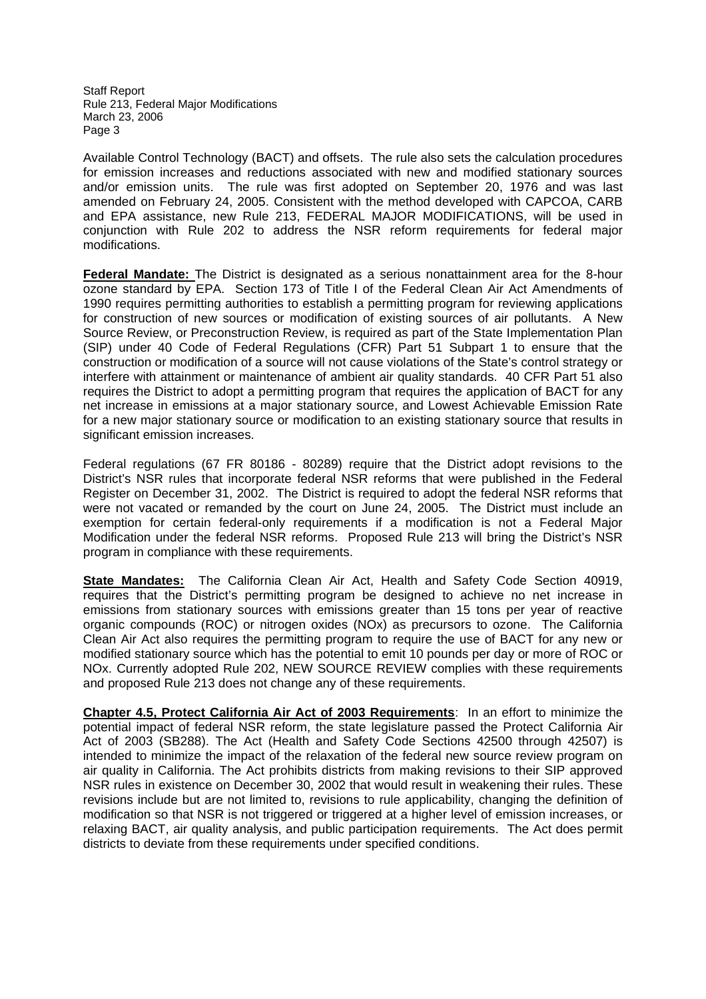Available Control Technology (BACT) and offsets. The rule also sets the calculation procedures for emission increases and reductions associated with new and modified stationary sources and/or emission units. The rule was first adopted on September 20, 1976 and was last amended on February 24, 2005. Consistent with the method developed with CAPCOA, CARB and EPA assistance, new Rule 213, FEDERAL MAJOR MODIFICATIONS, will be used in conjunction with Rule 202 to address the NSR reform requirements for federal major modifications.

**Federal Mandate:** The District is designated as a serious nonattainment area for the 8-hour ozone standard by EPA. Section 173 of Title I of the Federal Clean Air Act Amendments of 1990 requires permitting authorities to establish a permitting program for reviewing applications for construction of new sources or modification of existing sources of air pollutants. A New Source Review, or Preconstruction Review, is required as part of the State Implementation Plan (SIP) under 40 Code of Federal Regulations (CFR) Part 51 Subpart 1 to ensure that the construction or modification of a source will not cause violations of the State's control strategy or interfere with attainment or maintenance of ambient air quality standards. 40 CFR Part 51 also requires the District to adopt a permitting program that requires the application of BACT for any net increase in emissions at a major stationary source, and Lowest Achievable Emission Rate for a new major stationary source or modification to an existing stationary source that results in significant emission increases.

Federal regulations (67 FR 80186 - 80289) require that the District adopt revisions to the District's NSR rules that incorporate federal NSR reforms that were published in the Federal Register on December 31, 2002. The District is required to adopt the federal NSR reforms that were not vacated or remanded by the court on June 24, 2005. The District must include an exemption for certain federal-only requirements if a modification is not a Federal Major Modification under the federal NSR reforms. Proposed Rule 213 will bring the District's NSR program in compliance with these requirements.

**State Mandates:** The California Clean Air Act, Health and Safety Code Section 40919, requires that the District's permitting program be designed to achieve no net increase in emissions from stationary sources with emissions greater than 15 tons per year of reactive organic compounds (ROC) or nitrogen oxides (NOx) as precursors to ozone. The California Clean Air Act also requires the permitting program to require the use of BACT for any new or modified stationary source which has the potential to emit 10 pounds per day or more of ROC or NOx. Currently adopted Rule 202, NEW SOURCE REVIEW complies with these requirements and proposed Rule 213 does not change any of these requirements.

**Chapter 4.5, Protect California Air Act of 2003 Requirements**: In an effort to minimize the potential impact of federal NSR reform, the state legislature passed the Protect California Air Act of 2003 (SB288). The Act (Health and Safety Code Sections 42500 through 42507) is intended to minimize the impact of the relaxation of the federal new source review program on air quality in California. The Act prohibits districts from making revisions to their SIP approved NSR rules in existence on December 30, 2002 that would result in weakening their rules. These revisions include but are not limited to, revisions to rule applicability, changing the definition of modification so that NSR is not triggered or triggered at a higher level of emission increases, or relaxing BACT, air quality analysis, and public participation requirements. The Act does permit districts to deviate from these requirements under specified conditions.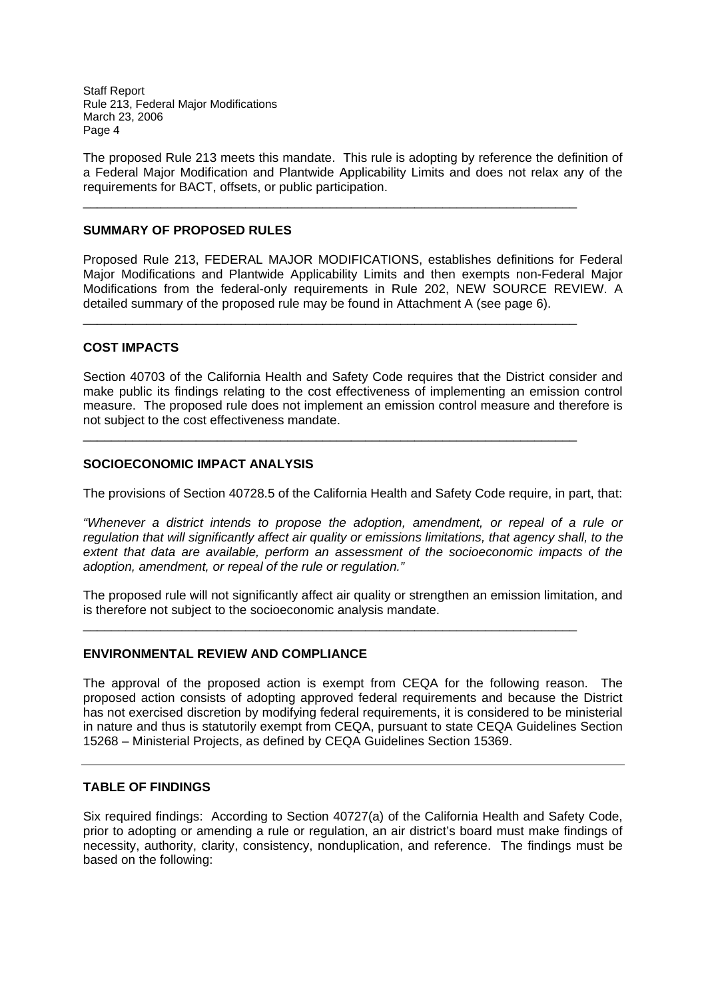The proposed Rule 213 meets this mandate. This rule is adopting by reference the definition of a Federal Major Modification and Plantwide Applicability Limits and does not relax any of the requirements for BACT, offsets, or public participation.

\_\_\_\_\_\_\_\_\_\_\_\_\_\_\_\_\_\_\_\_\_\_\_\_\_\_\_\_\_\_\_\_\_\_\_\_\_\_\_\_\_\_\_\_\_\_\_\_\_\_\_\_\_\_\_\_\_\_\_\_\_\_\_\_\_\_\_\_\_\_

 $\_$  ,  $\_$  ,  $\_$  ,  $\_$  ,  $\_$  ,  $\_$  ,  $\_$  ,  $\_$  ,  $\_$  ,  $\_$  ,  $\_$  ,  $\_$  ,  $\_$  ,  $\_$  ,  $\_$  ,  $\_$  ,  $\_$  ,  $\_$  ,  $\_$  ,  $\_$ 

\_\_\_\_\_\_\_\_\_\_\_\_\_\_\_\_\_\_\_\_\_\_\_\_\_\_\_\_\_\_\_\_\_\_\_\_\_\_\_\_\_\_\_\_\_\_\_\_\_\_\_\_\_\_\_\_\_\_\_\_\_\_\_\_\_\_\_\_\_\_

## **SUMMARY OF PROPOSED RULES**

Proposed Rule 213, FEDERAL MAJOR MODIFICATIONS, establishes definitions for Federal Major Modifications and Plantwide Applicability Limits and then exempts non-Federal Major Modifications from the federal-only requirements in Rule 202, NEW SOURCE REVIEW. A detailed summary of the proposed rule may be found in Attachment A (see page 6).

## **COST IMPACTS**

Section 40703 of the California Health and Safety Code requires that the District consider and make public its findings relating to the cost effectiveness of implementing an emission control measure. The proposed rule does not implement an emission control measure and therefore is not subject to the cost effectiveness mandate.

#### **SOCIOECONOMIC IMPACT ANALYSIS**

The provisions of Section 40728.5 of the California Health and Safety Code require, in part, that:

*"Whenever a district intends to propose the adoption, amendment, or repeal of a rule or regulation that will significantly affect air quality or emissions limitations, that agency shall, to the extent that data are available, perform an assessment of the socioeconomic impacts of the adoption, amendment, or repeal of the rule or regulation."*

The proposed rule will not significantly affect air quality or strengthen an emission limitation, and is therefore not subject to the socioeconomic analysis mandate.

 $\_$  ,  $\_$  ,  $\_$  ,  $\_$  ,  $\_$  ,  $\_$  ,  $\_$  ,  $\_$  ,  $\_$  ,  $\_$  ,  $\_$  ,  $\_$  ,  $\_$  ,  $\_$  ,  $\_$  ,  $\_$  ,  $\_$  ,  $\_$  ,  $\_$  ,  $\_$ 

#### **ENVIRONMENTAL REVIEW AND COMPLIANCE**

The approval of the proposed action is exempt from CEQA for the following reason. The proposed action consists of adopting approved federal requirements and because the District has not exercised discretion by modifying federal requirements, it is considered to be ministerial in nature and thus is statutorily exempt from CEQA, pursuant to state CEQA Guidelines Section 15268 – Ministerial Projects, as defined by CEQA Guidelines Section 15369.

## **TABLE OF FINDINGS**

Six required findings: According to Section 40727(a) of the California Health and Safety Code, prior to adopting or amending a rule or regulation, an air district's board must make findings of necessity, authority, clarity, consistency, nonduplication, and reference. The findings must be based on the following: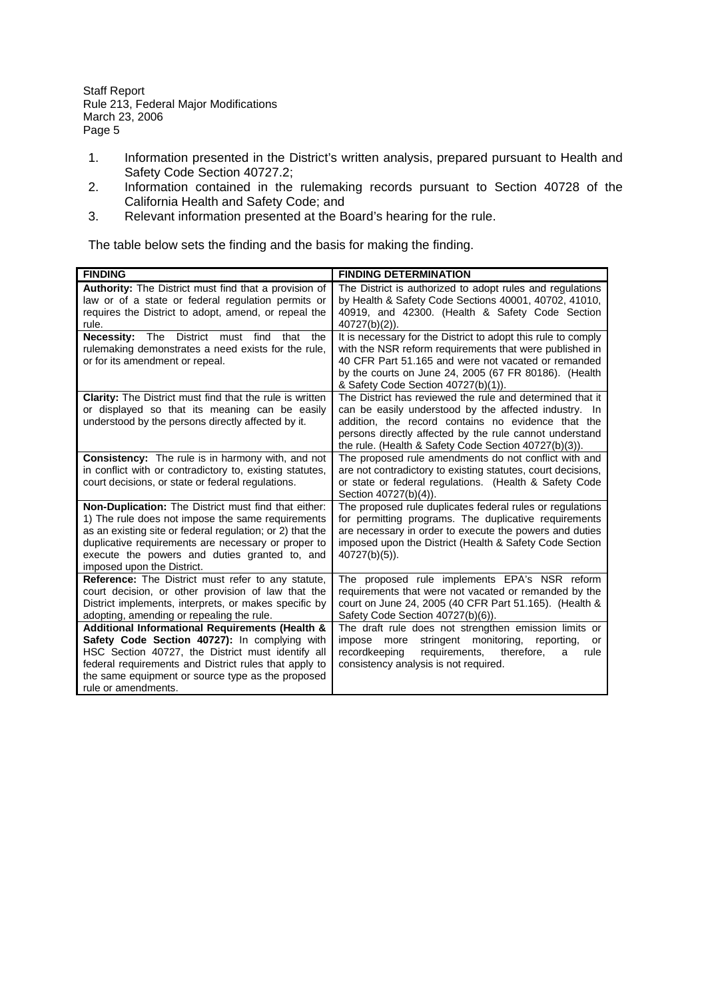- 1. Information presented in the District's written analysis, prepared pursuant to Health and Safety Code Section 40727.2;
- 2. Information contained in the rulemaking records pursuant to Section 40728 of the California Health and Safety Code; and
- 3. Relevant information presented at the Board's hearing for the rule.

The table below sets the finding and the basis for making the finding.

| <b>FINDING</b>                                                                                                                                                                                                                                                                                               | <b>FINDING DETERMINATION</b>                                                                                                                                                                                                                                                                 |
|--------------------------------------------------------------------------------------------------------------------------------------------------------------------------------------------------------------------------------------------------------------------------------------------------------------|----------------------------------------------------------------------------------------------------------------------------------------------------------------------------------------------------------------------------------------------------------------------------------------------|
| Authority: The District must find that a provision of<br>law or of a state or federal regulation permits or<br>requires the District to adopt, amend, or repeal the<br>rule.                                                                                                                                 | The District is authorized to adopt rules and regulations<br>by Health & Safety Code Sections 40001, 40702, 41010,<br>40919, and 42300. (Health & Safety Code Section<br>$40727(b)(2)$ ).                                                                                                    |
| <b>Necessity:</b><br><b>District</b><br>must find<br>The<br>that<br>the<br>rulemaking demonstrates a need exists for the rule,<br>or for its amendment or repeal.                                                                                                                                            | It is necessary for the District to adopt this rule to comply<br>with the NSR reform requirements that were published in<br>40 CFR Part 51.165 and were not vacated or remanded<br>by the courts on June 24, 2005 (67 FR 80186). (Health<br>& Safety Code Section 40727(b)(1)).              |
| <b>Clarity:</b> The District must find that the rule is written<br>or displayed so that its meaning can be easily<br>understood by the persons directly affected by it.                                                                                                                                      | The District has reviewed the rule and determined that it<br>can be easily understood by the affected industry. In<br>addition, the record contains no evidence that the<br>persons directly affected by the rule cannot understand<br>the rule. (Health & Safety Code Section 40727(b)(3)). |
| <b>Consistency:</b> The rule is in harmony with, and not<br>in conflict with or contradictory to, existing statutes,<br>court decisions, or state or federal regulations.                                                                                                                                    | The proposed rule amendments do not conflict with and<br>are not contradictory to existing statutes, court decisions,<br>or state or federal regulations. (Health & Safety Code<br>Section 40727(b)(4)).                                                                                     |
| Non-Duplication: The District must find that either:<br>1) The rule does not impose the same requirements<br>as an existing site or federal regulation; or 2) that the<br>duplicative requirements are necessary or proper to<br>execute the powers and duties granted to, and<br>imposed upon the District. | The proposed rule duplicates federal rules or regulations<br>for permitting programs. The duplicative requirements<br>are necessary in order to execute the powers and duties<br>imposed upon the District (Health & Safety Code Section<br>$40727(b)(5)$ ).                                 |
| <b>Reference:</b> The District must refer to any statute,<br>court decision, or other provision of law that the<br>District implements, interprets, or makes specific by<br>adopting, amending or repealing the rule.                                                                                        | The proposed rule implements EPA's NSR reform<br>requirements that were not vacated or remanded by the<br>court on June 24, 2005 (40 CFR Part 51.165). (Health &<br>Safety Code Section 40727(b)(6)).                                                                                        |
| Additional Informational Requirements (Health &<br>Safety Code Section 40727): In complying with<br>HSC Section 40727, the District must identify all<br>federal requirements and District rules that apply to<br>the same equipment or source type as the proposed<br>rule or amendments.                   | The draft rule does not strengthen emission limits or<br>stringent monitoring,<br>impose more<br>reporting,<br>or<br>recordkeeping<br>requirements,<br>therefore,<br>rule<br>a<br>consistency analysis is not required.                                                                      |